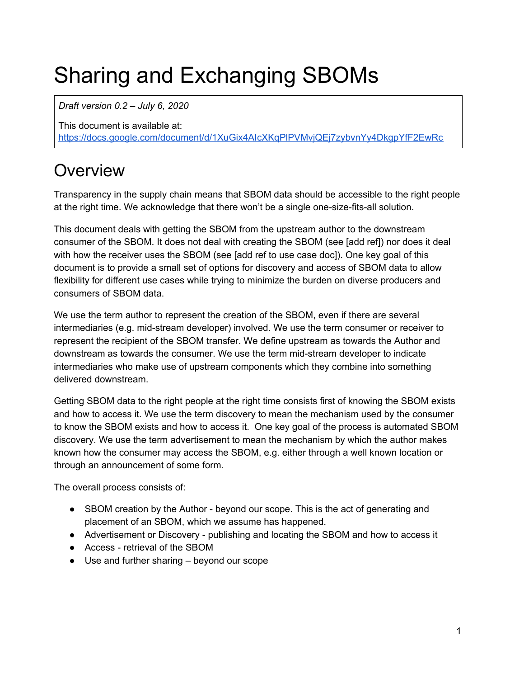# Sharing and Exchanging SBOMs

*Draft version 0.2 – July 6, 2020*

This document is available at: [https://docs.google.com/document/d/1XuGix4AIcXKqPlPVMvjQEj7zybvnYy4DkgpYfF2EwRc](https://docs.google.com/document/d/1XuGix4AIcXKqPlPVMvjQEj7zybvnYy4DkgpYfF2EwRc/edit#)

# **Overview**

Transparency in the supply chain means that SBOM data should be accessible to the right people at the right time. We acknowledge that there won't be a single one-size-fits-all solution.

This document deals with getting the SBOM from the upstream author to the downstream consumer of the SBOM. It does not deal with creating the SBOM (see [add ref]) nor does it deal with how the receiver uses the SBOM (see [add ref to use case doc]). One key goal of this document is to provide a small set of options for discovery and access of SBOM data to allow flexibility for different use cases while trying to minimize the burden on diverse producers and consumers of SBOM data.

We use the term author to represent the creation of the SBOM, even if there are several intermediaries (e.g. mid-stream developer) involved. We use the term consumer or receiver to represent the recipient of the SBOM transfer. We define upstream as towards the Author and downstream as towards the consumer. We use the term mid-stream developer to indicate intermediaries who make use of upstream components which they combine into something delivered downstream.

Getting SBOM data to the right people at the right time consists first of knowing the SBOM exists and how to access it. We use the term discovery to mean the mechanism used by the consumer to know the SBOM exists and how to access it. One key goal of the process is automated SBOM discovery. We use the term advertisement to mean the mechanism by which the author makes known how the consumer may access the SBOM, e.g. either through a well known location or through an announcement of some form.

The overall process consists of:

- SBOM creation by the Author beyond our scope. This is the act of generating and placement of an SBOM, which we assume has happened.
- Advertisement or Discovery publishing and locating the SBOM and how to access it
- Access retrieval of the SBOM
- Use and further sharing beyond our scope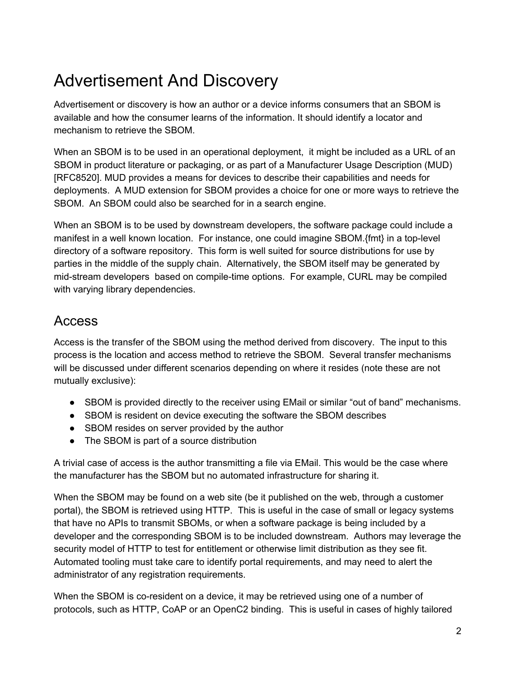# Advertisement And Discovery

Advertisement or discovery is how an author or a device informs consumers that an SBOM is available and how the consumer learns of the information. It should identify a locator and mechanism to retrieve the SBOM.

When an SBOM is to be used in an operational deployment, it might be included as a URL of an SBOM in product literature or packaging, or as part of a Manufacturer Usage Description (MUD) [RFC8520]. MUD provides a means for devices to describe their capabilities and needs for deployments. A MUD extension for SBOM provides a choice for one or more ways to retrieve the SBOM. An SBOM could also be searched for in a search engine.

When an SBOM is to be used by downstream developers, the software package could include a manifest in a well known location. For instance, one could imagine SBOM.{fmt} in a top-level directory of a software repository. This form is well suited for source distributions for use by parties in the middle of the supply chain. Alternatively, the SBOM itself may be generated by mid-stream developers based on compile-time options. For example, CURL may be compiled with varying library dependencies.

#### Access

Access is the transfer of the SBOM using the method derived from discovery. The input to this process is the location and access method to retrieve the SBOM. Several transfer mechanisms will be discussed under different scenarios depending on where it resides (note these are not mutually exclusive):

- SBOM is provided directly to the receiver using EMail or similar "out of band" mechanisms.
- SBOM is resident on device executing the software the SBOM describes
- SBOM resides on server provided by the author
- The SBOM is part of a source distribution

A trivial case of access is the author transmitting a file via EMail. This would be the case where the manufacturer has the SBOM but no automated infrastructure for sharing it.

When the SBOM may be found on a web site (be it published on the web, through a customer portal), the SBOM is retrieved using HTTP. This is useful in the case of small or legacy systems that have no APIs to transmit SBOMs, or when a software package is being included by a developer and the corresponding SBOM is to be included downstream. Authors may leverage the security model of HTTP to test for entitlement or otherwise limit distribution as they see fit. Automated tooling must take care to identify portal requirements, and may need to alert the administrator of any registration requirements.

When the SBOM is co-resident on a device, it may be retrieved using one of a number of protocols, such as HTTP, CoAP or an OpenC2 binding. This is useful in cases of highly tailored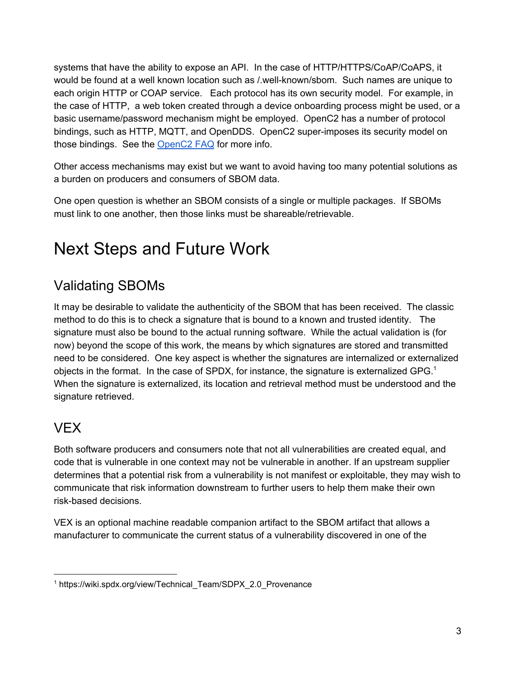systems that have the ability to expose an API. In the case of HTTP/HTTPS/CoAP/CoAPS, it would be found at a well known location such as /.well-known/sbom. Such names are unique to each origin HTTP or COAP service. Each protocol has its own security model. For example, in the case of HTTP, a web token created through a device onboarding process might be used, or a basic username/password mechanism might be employed. OpenC2 has a number of protocol bindings, such as HTTP, MQTT, and OpenDDS. OpenC2 super-imposes its security model on those bindings. See the [OpenC2](https://github.com/oasis-tcs/openc2-tc-ops/blob/master/FAQ.md) FAQ for more info.

Other access mechanisms may exist but we want to avoid having too many potential solutions as a burden on producers and consumers of SBOM data.

One open question is whether an SBOM consists of a single or multiple packages. If SBOMs must link to one another, then those links must be shareable/retrievable.

### Next Steps and Future Work

### Validating SBOMs

It may be desirable to validate the authenticity of the SBOM that has been received. The classic method to do this is to check a signature that is bound to a known and trusted identity. The signature must also be bound to the actual running software. While the actual validation is (for now) beyond the scope of this work, the means by which signatures are stored and transmitted need to be considered. One key aspect is whether the signatures are internalized or externalized objects in the format. In the case of SPDX, for instance, the signature is externalized GPG.<sup>1</sup> When the signature is externalized, its location and retrieval method must be understood and the signature retrieved.

#### VEX

Both software producers and consumers note that not all vulnerabilities are created equal, and code that is vulnerable in one context may not be vulnerable in another. If an upstream supplier determines that a potential risk from a vulnerability is not manifest or exploitable, they may wish to communicate that risk information downstream to further users to help them make their own risk-based decisions.

VEX is an optional machine readable companion artifact to the SBOM artifact that allows a manufacturer to communicate the current status of a vulnerability discovered in one of the

<sup>&</sup>lt;sup>1</sup> [https://wiki.spdx.org/view/Technical\\_Team/SDPX\\_2.0\\_Provenance](https://wiki.spdx.org/view/Technical_Team/SDPX_2.0_Provenance)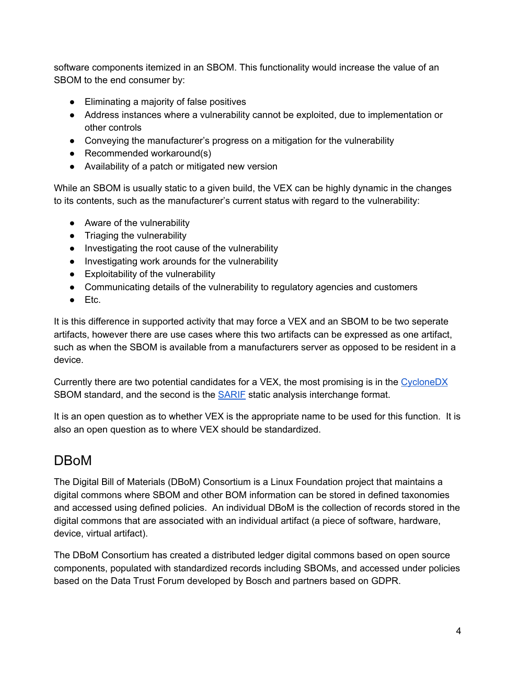software components itemized in an SBOM. This functionality would increase the value of an SBOM to the end consumer by:

- Eliminating a majority of false positives
- Address instances where a vulnerability cannot be exploited, due to implementation or other controls
- Conveying the manufacturer's progress on a mitigation for the vulnerability
- Recommended workaround(s)
- Availability of a patch or mitigated new version

While an SBOM is usually static to a given build, the VEX can be highly dynamic in the changes to its contents, such as the manufacturer's current status with regard to the vulnerability:

- Aware of the vulnerability
- Triaging the vulnerability
- Investigating the root cause of the vulnerability
- Investigating work arounds for the vulnerability
- Exploitability of the vulnerability
- Communicating details of the vulnerability to regulatory agencies and customers
- $\bullet$  Etc.

It is this difference in supported activity that may force a VEX and an SBOM to be two seperate artifacts, however there are use cases where this two artifacts can be expressed as one artifact, such as when the SBOM is available from a manufacturers server as opposed to be resident in a device.

Currently there are two potential candidates for a VEX, the most promising is in the [CycloneDX](https://cyclonedx.org/ext/vulnerability/) SBOM standard, and the second is the [SARIF](https://docs.oasis-open.org/sarif/sarif/v2.0/sarif-v2.0.html) static analysis interchange format.

It is an open question as to whether VEX is the appropriate name to be used for this function. It is also an open question as to where VEX should be standardized.

#### DBoM

The Digital Bill of Materials (DBoM) Consortium is a Linux Foundation project that maintains a digital commons where SBOM and other BOM information can be stored in defined taxonomies and accessed using defined policies. An individual DBoM is the collection of records stored in the digital commons that are associated with an individual artifact (a piece of software, hardware, device, virtual artifact).

The DBoM Consortium has created a distributed ledger digital commons based on open source components, populated with standardized records including SBOMs, and accessed under policies based on the Data Trust Forum developed by Bosch and partners based on GDPR.